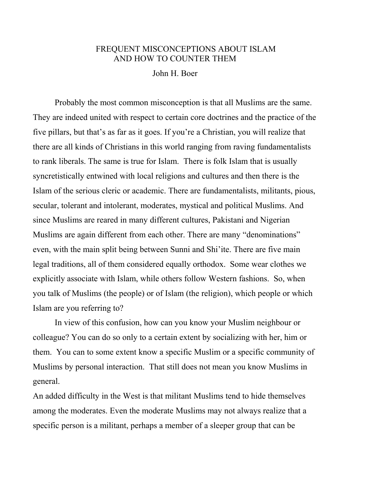## FREQUENT MISCONCEPTIONS ABOUT ISLAM AND HOW TO COUNTER THEM

John H. Boer

Probably the most common misconception is that all Muslims are the same. They are indeed united with respect to certain core doctrines and the practice of the five pillars, but that's as far as it goes. If you're a Christian, you will realize that there are all kinds of Christians in this world ranging from raving fundamentalists to rank liberals. The same is true for Islam. There is folk Islam that is usually syncretistically entwined with local religions and cultures and then there is the Islam of the serious cleric or academic. There are fundamentalists, militants, pious, secular, tolerant and intolerant, moderates, mystical and political Muslims. And since Muslims are reared in many different cultures, Pakistani and Nigerian Muslims are again different from each other. There are many "denominations" even, with the main split being between Sunni and Shi'ite. There are five main legal traditions, all of them considered equally orthodox. Some wear clothes we explicitly associate with Islam, while others follow Western fashions. So, when you talk of Muslims (the people) or of Islam (the religion), which people or which Islam are you referring to?

In view of this confusion, how can you know your Muslim neighbour or colleague? You can do so only to a certain extent by socializing with her, him or them. You can to some extent know a specific Muslim or a specific community of Muslims by personal interaction. That still does not mean you know Muslims in general.

An added difficulty in the West is that militant Muslims tend to hide themselves among the moderates. Even the moderate Muslims may not always realize that a specific person is a militant, perhaps a member of a sleeper group that can be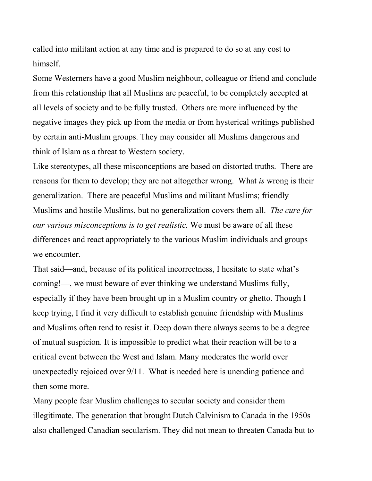called into militant action at any time and is prepared to do so at any cost to himself.

Some Westerners have a good Muslim neighbour, colleague or friend and conclude from this relationship that all Muslims are peaceful, to be completely accepted at all levels of society and to be fully trusted. Others are more influenced by the negative images they pick up from the media or from hysterical writings published by certain anti-Muslim groups. They may consider all Muslims dangerous and think of Islam as a threat to Western society.

Like stereotypes, all these misconceptions are based on distorted truths. There are reasons for them to develop; they are not altogether wrong. What *is* wrong is their generalization. There are peaceful Muslims and militant Muslims; friendly Muslims and hostile Muslims, but no generalization covers them all. *The cure for our various misconceptions is to get realistic.* We must be aware of all these differences and react appropriately to the various Muslim individuals and groups we encounter.

That said—and, because of its political incorrectness, I hesitate to state what's coming!—, we must beware of ever thinking we understand Muslims fully, especially if they have been brought up in a Muslim country or ghetto. Though I keep trying, I find it very difficult to establish genuine friendship with Muslims and Muslims often tend to resist it. Deep down there always seems to be a degree of mutual suspicion. It is impossible to predict what their reaction will be to a critical event between the West and Islam. Many moderates the world over unexpectedly rejoiced over 9/11. What is needed here is unending patience and then some more.

Many people fear Muslim challenges to secular society and consider them illegitimate. The generation that brought Dutch Calvinism to Canada in the 1950s also challenged Canadian secularism. They did not mean to threaten Canada but to